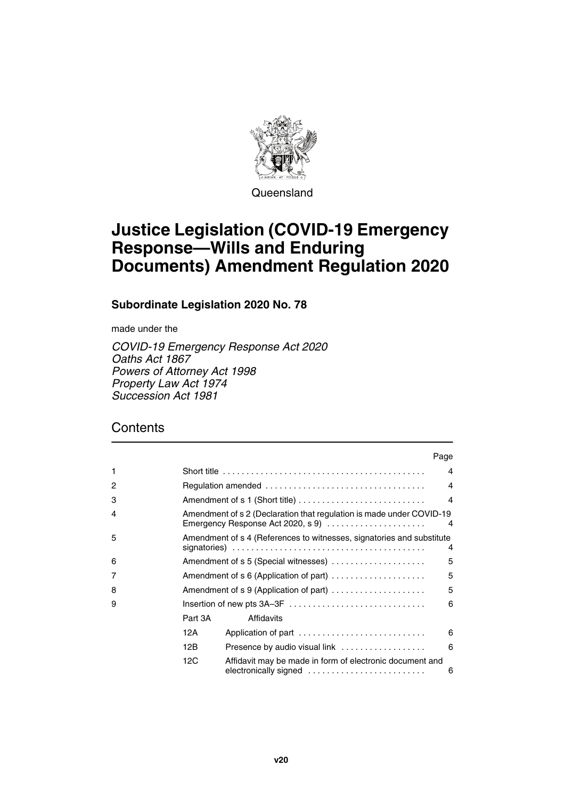

Queensland

# **Justice Legislation (COVID-19 Emergency Response—Wills and Enduring Documents) Amendment Regulation 2020**

**Subordinate Legislation 2020 No. 78**

made under the

*COVID-19 Emergency Response Act 2020 Oaths Act 1867 Powers of Attorney Act 1998 Property Law Act 1974 Succession Act 1981*

## **Contents**

|   |                                                                                                                |                                                                                   | Page           |  |  |
|---|----------------------------------------------------------------------------------------------------------------|-----------------------------------------------------------------------------------|----------------|--|--|
| 1 |                                                                                                                |                                                                                   | 4              |  |  |
| 2 |                                                                                                                |                                                                                   | $\overline{4}$ |  |  |
| 3 |                                                                                                                |                                                                                   | $\overline{4}$ |  |  |
| 4 | Amendment of s 2 (Declaration that regulation is made under COVID-19<br>Emergency Response Act 2020, s 9)<br>4 |                                                                                   |                |  |  |
| 5 | Amendment of s 4 (References to witnesses, signatories and substitute<br>4                                     |                                                                                   |                |  |  |
| 6 |                                                                                                                | Amendment of s 5 (Special witnesses)                                              | 5              |  |  |
| 7 | Amendment of $s 6$ (Application of part) $\dots\dots\dots\dots\dots\dots$                                      |                                                                                   |                |  |  |
| 8 | 5<br>Amendment of s 9 (Application of part)                                                                    |                                                                                   |                |  |  |
| 9 |                                                                                                                | Insertion of new pts 3A-3F                                                        | 6              |  |  |
|   | Part 3A                                                                                                        | Affidavits                                                                        |                |  |  |
|   | 12A                                                                                                            | Application of part                                                               | 6              |  |  |
|   | 12B                                                                                                            | Presence by audio visual link                                                     | 6              |  |  |
|   | 12C                                                                                                            | Affidavit may be made in form of electronic document and<br>electronically signed | 6              |  |  |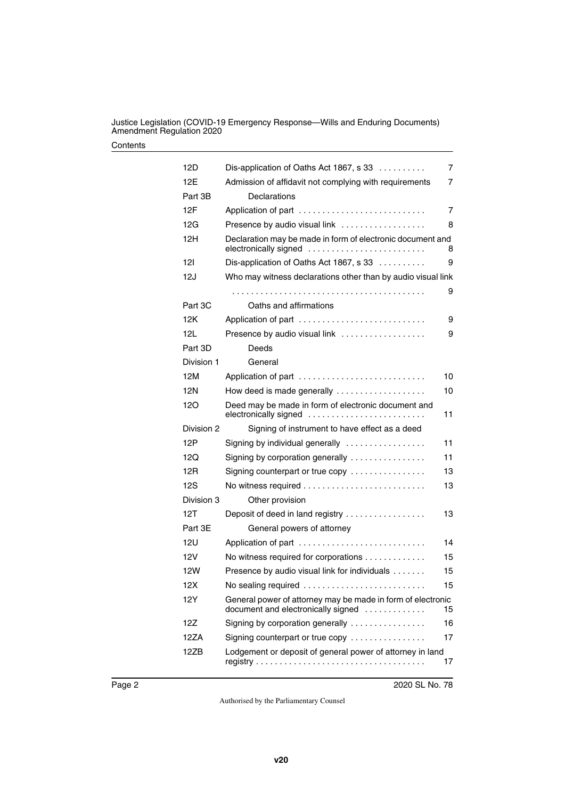Justice Legislation (COVID-19 Emergency Response—Wills and Enduring Documents) Amendment Regulation 2020

#### **Contents**

| 12D        | Dis-application of Oaths Act 1867, s 33                                                           | $\overline{7}$ |  |
|------------|---------------------------------------------------------------------------------------------------|----------------|--|
| 12E        | Admission of affidavit not complying with requirements                                            |                |  |
| Part 3B    | Declarations                                                                                      |                |  |
| 12F        | Application of part                                                                               | 7              |  |
| 12G        | Presence by audio visual link                                                                     | 8              |  |
| 12H        | Declaration may be made in form of electronic document and<br>electronically signed               | 8              |  |
| 121        | Dis-application of Oaths Act 1867, s 33                                                           | 9              |  |
| 12J        | Who may witness declarations other than by audio visual link                                      |                |  |
|            |                                                                                                   | 9              |  |
| Part 3C    | Oaths and affirmations                                                                            |                |  |
| 12K        | Application of part                                                                               | 9              |  |
| 12L        | Presence by audio visual link                                                                     | 9              |  |
| Part 3D    | Deeds                                                                                             |                |  |
| Division 1 | General                                                                                           |                |  |
| 12M        | Application of part                                                                               | 10             |  |
| 12N        | How deed is made generally                                                                        | 10             |  |
| 120        | Deed may be made in form of electronic document and<br>electronically signed                      | 11             |  |
| Division 2 | Signing of instrument to have effect as a deed                                                    |                |  |
| 12P        | Signing by individual generally                                                                   | 11             |  |
| 12Q        | Signing by corporation generally $\ldots \ldots \ldots \ldots$                                    | 11             |  |
| 12R        | Signing counterpart or true copy                                                                  | 13             |  |
| 12S        |                                                                                                   | 13             |  |
| Division 3 | Other provision                                                                                   |                |  |
| 12T        | Deposit of deed in land registry                                                                  | 13             |  |
| Part 3E    | General powers of attorney                                                                        |                |  |
| 12U        | Application of part                                                                               | 14             |  |
| 12V        | No witness required for corporations                                                              | 15             |  |
| <b>12W</b> | Presence by audio visual link for individuals                                                     | 15             |  |
| 12X        | No sealing required                                                                               | 15             |  |
| 12Y        | General power of attorney may be made in form of electronic<br>document and electronically signed | 15             |  |
| 12Z        | Signing by corporation generally                                                                  | 16             |  |
| 12ZA       | Signing counterpart or true copy                                                                  | 17             |  |
| 12ZB       | Lodgement or deposit of general power of attorney in land                                         | 17             |  |
|            |                                                                                                   |                |  |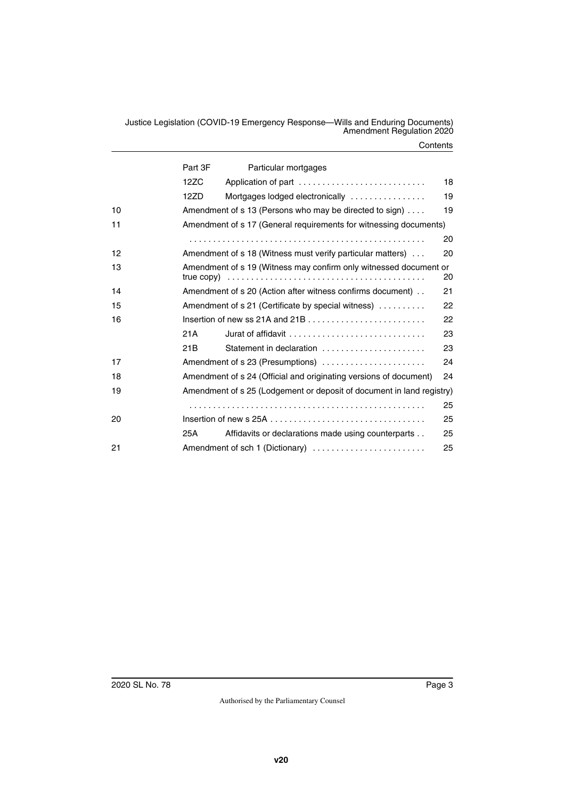Justice Legislation (COVID-19 Emergency Response—Wills and Enduring Documents) Amendment Regulation 2020

#### **Contents**

|    | Part 3F                                                                                           | Particular mortgages                                                                |    |  |  |
|----|---------------------------------------------------------------------------------------------------|-------------------------------------------------------------------------------------|----|--|--|
|    | 12ZC                                                                                              | Application of part                                                                 | 18 |  |  |
|    | 12ZD                                                                                              | Mortgages lodged electronically                                                     | 19 |  |  |
| 10 | Amendment of s 13 (Persons who may be directed to sign)                                           |                                                                                     |    |  |  |
| 11 | Amendment of s 17 (General requirements for witnessing documents)                                 |                                                                                     |    |  |  |
|    |                                                                                                   |                                                                                     | 20 |  |  |
| 12 |                                                                                                   | Amendment of s 18 (Witness must verify particular matters)                          | 20 |  |  |
| 13 |                                                                                                   | Amendment of s 19 (Witness may confirm only witnessed document or                   | 20 |  |  |
| 14 | Amendment of s 20 (Action after witness confirms document)<br>21                                  |                                                                                     |    |  |  |
| 15 | Amendment of s 21 (Certificate by special witness)<br>22                                          |                                                                                     |    |  |  |
| 16 | Insertion of new ss 21A and 21B . $\ldots$ . $\ldots$ . $\ldots$ . $\ldots$ . $\ldots$ . $\ldots$ |                                                                                     |    |  |  |
|    | 21A                                                                                               | Jurat of affidavit $\ldots, \ldots, \ldots, \ldots, \ldots, \ldots, \ldots, \ldots$ | 23 |  |  |
|    | 21B                                                                                               | Statement in declaration                                                            | 23 |  |  |
| 17 | Amendment of s 23 (Presumptions)<br>24                                                            |                                                                                     |    |  |  |
| 18 | Amendment of s 24 (Official and originating versions of document)<br>24                           |                                                                                     |    |  |  |
| 19 | Amendment of s 25 (Lodgement or deposit of document in land registry)                             |                                                                                     |    |  |  |
|    |                                                                                                   |                                                                                     | 25 |  |  |
| 20 |                                                                                                   |                                                                                     |    |  |  |
|    | 25A                                                                                               | Affidavits or declarations made using counterparts                                  | 25 |  |  |
| 21 | Amendment of sch 1 (Dictionary)<br>25                                                             |                                                                                     |    |  |  |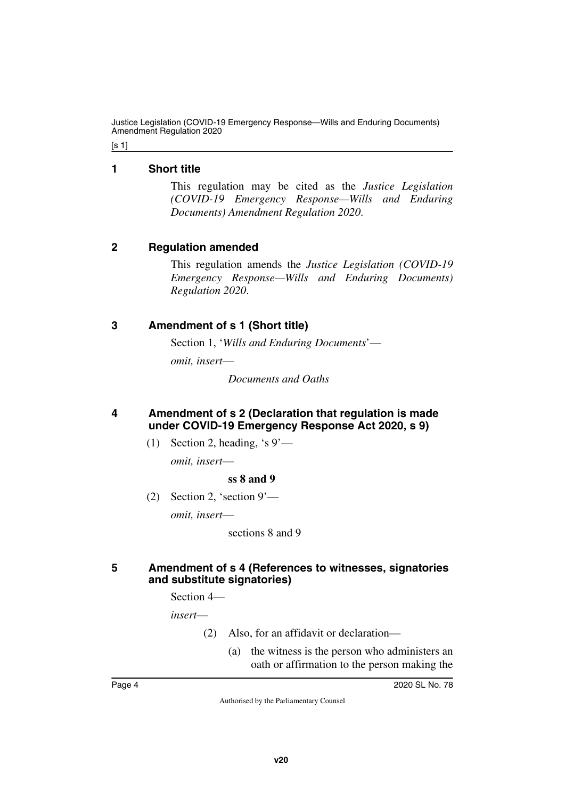Justice Legislation (COVID-19 Emergency Response—Wills and Enduring Documents) Amendment Regulation 2020

[s 1]

### <span id="page-3-0"></span>**1 Short title**

<span id="page-3-1"></span>This regulation may be cited as the *Justice Legislation (COVID-19 Emergency Response—Wills and Enduring Documents) Amendment Regulation 2020*.

### <span id="page-3-2"></span>**2 Regulation amended**

<span id="page-3-3"></span>This regulation amends the *Justice Legislation (COVID-19 Emergency Response—Wills and Enduring Documents) Regulation 2020*.

### <span id="page-3-4"></span>**3 Amendment of s 1 (Short title)**

<span id="page-3-5"></span>Section 1, '*Wills and Enduring Documents*'—

*omit, insert*—

*Documents and Oaths*

### <span id="page-3-7"></span><span id="page-3-6"></span>**4 Amendment of s 2 (Declaration that regulation is made under COVID-19 Emergency Response Act 2020, s 9)**

(1) Section 2, heading, 's  $9'$  —

*omit, insert*—

### **ss 8 and 9**

(2) Section 2, 'section 9'—

*omit, insert*—

sections 8 and 9

### <span id="page-3-9"></span><span id="page-3-8"></span>**5 Amendment of s 4 (References to witnesses, signatories and substitute signatories)**

Section 4—

*insert*—

- (2) Also, for an affidavit or declaration—
	- (a) the witness is the person who administers an oath or affirmation to the person making the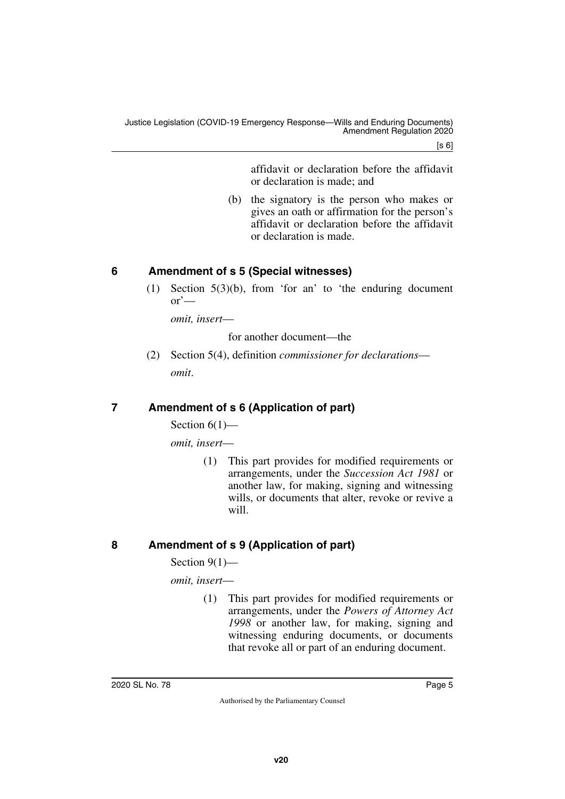[s 6]

affidavit or declaration before the affidavit or declaration is made; and

(b) the signatory is the person who makes or gives an oath or affirmation for the person's affidavit or declaration before the affidavit or declaration is made.

## <span id="page-4-0"></span>**6 Amendment of s 5 (Special witnesses)**

<span id="page-4-1"></span>(1) Section 5(3)(b), from 'for an' to 'the enduring document  $\alpha$ <sup>'</sup>—

*omit, insert*—

for another document—the

(2) Section 5(4), definition *commissioner for declarations omit*.

## <span id="page-4-2"></span>**7 Amendment of s 6 (Application of part)**

<span id="page-4-3"></span>Section  $6(1)$ —

*omit, insert*—

(1) This part provides for modified requirements or arrangements, under the *Succession Act 1981* or another law, for making, signing and witnessing wills, or documents that alter, revoke or revive a will.

## <span id="page-4-4"></span>**8 Amendment of s 9 (Application of part)**

<span id="page-4-5"></span>Section 9(1)—

*omit, insert*—

(1) This part provides for modified requirements or arrangements, under the *Powers of Attorney Act 1998* or another law, for making, signing and witnessing enduring documents, or documents that revoke all or part of an enduring document.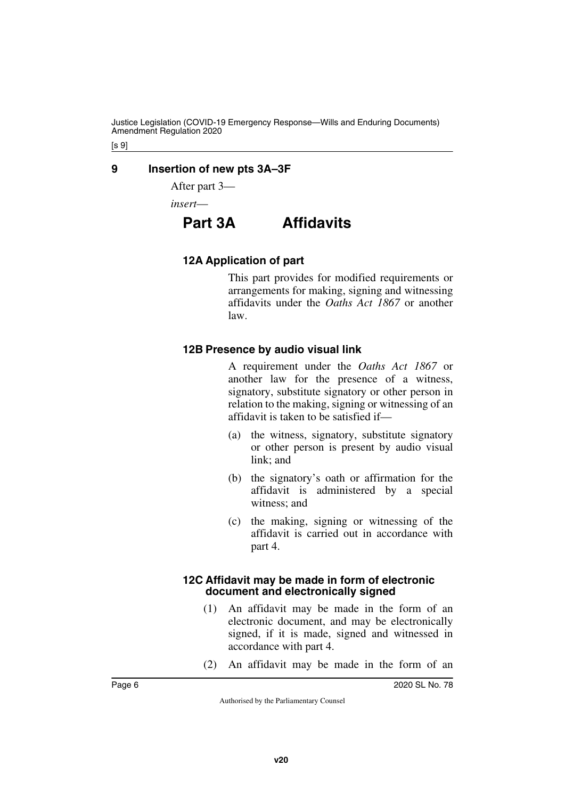Justice Legislation (COVID-19 Emergency Response—Wills and Enduring Documents) Amendment Regulation 2020

[s 9]

### <span id="page-5-0"></span>**9 Insertion of new pts 3A–3F**

<span id="page-5-1"></span>After part 3—

<span id="page-5-2"></span>*insert*—

# **Part 3A Affidavits**

### <span id="page-5-5"></span><span id="page-5-4"></span>**12A Application of part**

<span id="page-5-3"></span>This part provides for modified requirements or arrangements for making, signing and witnessing affidavits under the *Oaths Act 1867* or another law.

### <span id="page-5-7"></span><span id="page-5-6"></span>**12B Presence by audio visual link**

A requirement under the *Oaths Act 1867* or another law for the presence of a witness, signatory, substitute signatory or other person in relation to the making, signing or witnessing of an affidavit is taken to be satisfied if—

- (a) the witness, signatory, substitute signatory or other person is present by audio visual link; and
- (b) the signatory's oath or affirmation for the affidavit is administered by a special witness; and
- (c) the making, signing or witnessing of the affidavit is carried out in accordance with part 4.

### <span id="page-5-9"></span><span id="page-5-8"></span>**12C Affidavit may be made in form of electronic document and electronically signed**

- (1) An affidavit may be made in the form of an electronic document, and may be electronically signed, if it is made, signed and witnessed in accordance with part 4.
- (2) An affidavit may be made in the form of an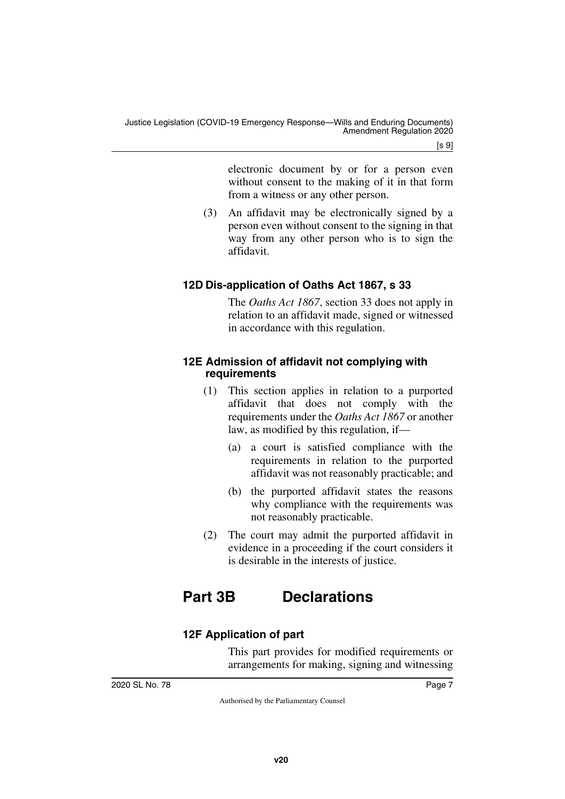electronic document by or for a person even without consent to the making of it in that form from a witness or any other person.

(3) An affidavit may be electronically signed by a person even without consent to the signing in that way from any other person who is to sign the affidavit.

## <span id="page-6-1"></span><span id="page-6-0"></span>**12D Dis-application of Oaths Act 1867, s 33**

The *Oaths Act 1867*, section 33 does not apply in relation to an affidavit made, signed or witnessed in accordance with this regulation.

### <span id="page-6-3"></span><span id="page-6-2"></span>**12E Admission of affidavit not complying with requirements**

- (1) This section applies in relation to a purported affidavit that does not comply with the requirements under the *Oaths Act 1867* or another law, as modified by this regulation, if—
	- (a) a court is satisfied compliance with the requirements in relation to the purported affidavit was not reasonably practicable; and
	- (b) the purported affidavit states the reasons why compliance with the requirements was not reasonably practicable.
- (2) The court may admit the purported affidavit in evidence in a proceeding if the court considers it is desirable in the interests of justice.

# <span id="page-6-4"></span>**Part 3B Declarations**

## <span id="page-6-7"></span><span id="page-6-6"></span>**12F Application of part**

<span id="page-6-5"></span>This part provides for modified requirements or arrangements for making, signing and witnessing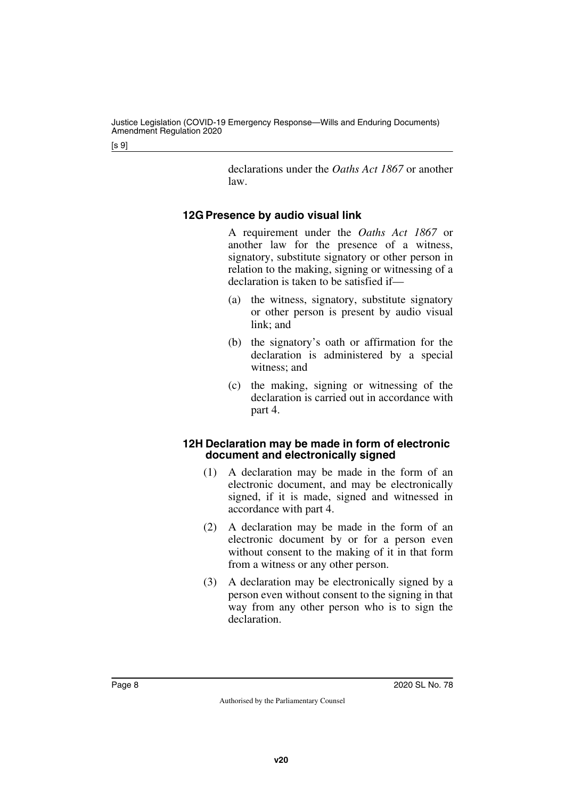declarations under the *Oaths Act 1867* or another law.

## <span id="page-7-1"></span><span id="page-7-0"></span>**12G Presence by audio visual link**

A requirement under the *Oaths Act 1867* or another law for the presence of a witness, signatory, substitute signatory or other person in relation to the making, signing or witnessing of a declaration is taken to be satisfied if—

- (a) the witness, signatory, substitute signatory or other person is present by audio visual link; and
- (b) the signatory's oath or affirmation for the declaration is administered by a special witness; and
- (c) the making, signing or witnessing of the declaration is carried out in accordance with part 4.

### <span id="page-7-3"></span><span id="page-7-2"></span>**12H Declaration may be made in form of electronic document and electronically signed**

- (1) A declaration may be made in the form of an electronic document, and may be electronically signed, if it is made, signed and witnessed in accordance with part 4.
- (2) A declaration may be made in the form of an electronic document by or for a person even without consent to the making of it in that form from a witness or any other person.
- (3) A declaration may be electronically signed by a person even without consent to the signing in that way from any other person who is to sign the declaration.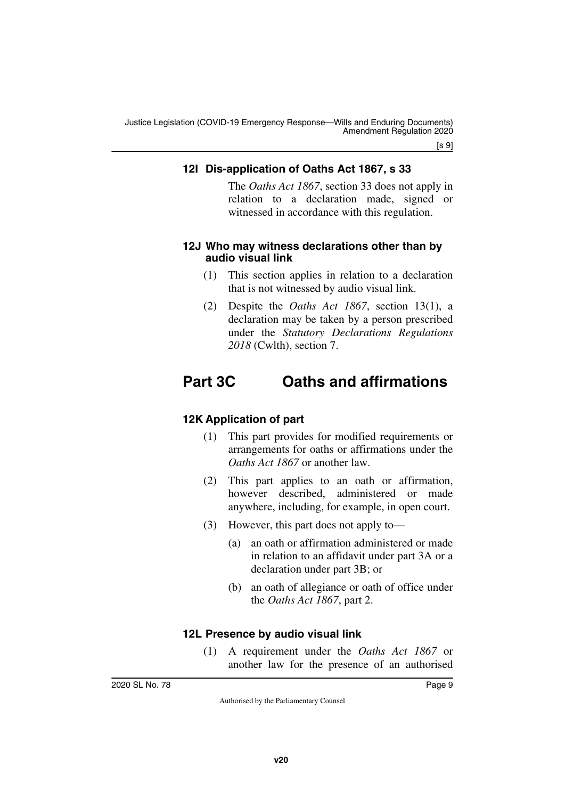### <span id="page-8-1"></span><span id="page-8-0"></span>**12I Dis-application of Oaths Act 1867, s 33**

The *Oaths Act 1867*, section 33 does not apply in relation to a declaration made, signed or witnessed in accordance with this regulation.

### <span id="page-8-3"></span><span id="page-8-2"></span>**12J Who may witness declarations other than by audio visual link**

- (1) This section applies in relation to a declaration that is not witnessed by audio visual link.
- <span id="page-8-5"></span>(2) Despite the *Oaths Act 1867*, section 13(1), a declaration may be taken by a person prescribed under the *Statutory Declarations Regulations 2018* (Cwlth), section 7.

# <span id="page-8-4"></span>**Part 3C Oaths and affirmations**

### <span id="page-8-7"></span><span id="page-8-6"></span>**12K Application of part**

- (1) This part provides for modified requirements or arrangements for oaths or affirmations under the *Oaths Act 1867* or another law.
- (2) This part applies to an oath or affirmation, however described, administered or made anywhere, including, for example, in open court.
- (3) However, this part does not apply to—
	- (a) an oath or affirmation administered or made in relation to an affidavit under part 3A or a declaration under part 3B; or
	- (b) an oath of allegiance or oath of office under the *Oaths Act 1867*, part 2.

## <span id="page-8-9"></span><span id="page-8-8"></span>**12L Presence by audio visual link**

(1) A requirement under the *Oaths Act 1867* or another law for the presence of an authorised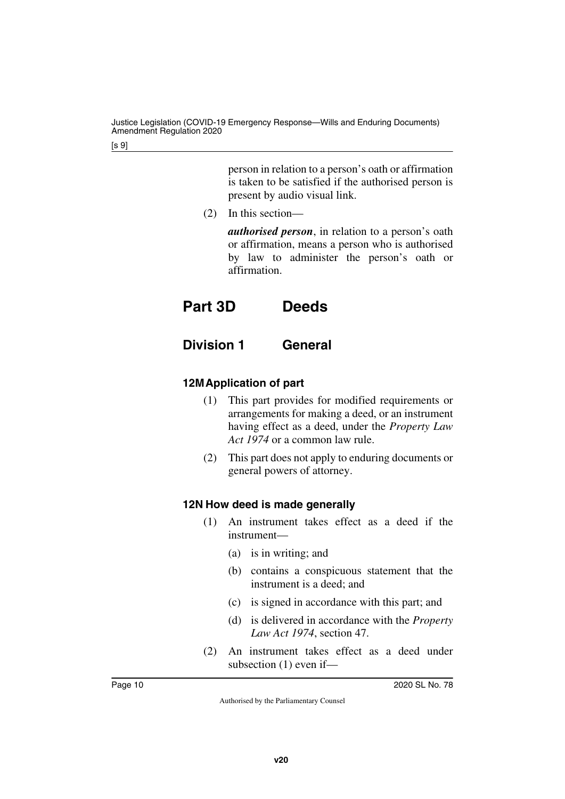person in relation to a person's oath or affirmation is taken to be satisfied if the authorised person is present by audio visual link.

(2) In this section—

<span id="page-9-1"></span>*authorised person*, in relation to a person's oath or affirmation, means a person who is authorised by law to administer the person's oath or affirmation.

# <span id="page-9-0"></span>**Part 3D Deeds**

<span id="page-9-3"></span><span id="page-9-2"></span>**Division 1 General**

## <span id="page-9-5"></span><span id="page-9-4"></span>**12MApplication of part**

- (1) This part provides for modified requirements or arrangements for making a deed, or an instrument having effect as a deed, under the *Property Law Act 1974* or a common law rule.
- (2) This part does not apply to enduring documents or general powers of attorney.

## <span id="page-9-7"></span><span id="page-9-6"></span>**12N How deed is made generally**

- (1) An instrument takes effect as a deed if the instrument—
	- (a) is in writing; and
	- (b) contains a conspicuous statement that the instrument is a deed; and
	- (c) is signed in accordance with this part; and
	- (d) is delivered in accordance with the *Property Law Act 1974*, section 47.
- (2) An instrument takes effect as a deed under subsection (1) even if—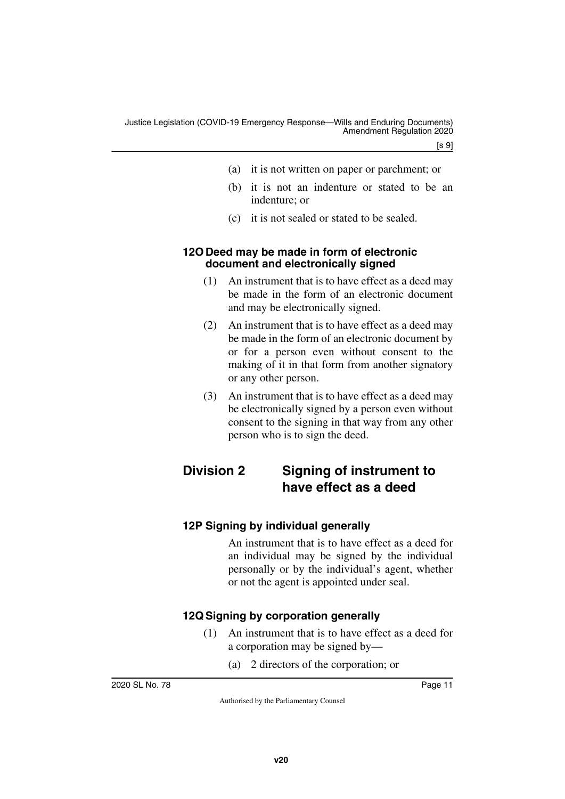- (a) it is not written on paper or parchment; or
- (b) it is not an indenture or stated to be an indenture; or
- (c) it is not sealed or stated to be sealed.

### <span id="page-10-1"></span><span id="page-10-0"></span>**12O Deed may be made in form of electronic document and electronically signed**

- (1) An instrument that is to have effect as a deed may be made in the form of an electronic document and may be electronically signed.
- (2) An instrument that is to have effect as a deed may be made in the form of an electronic document by or for a person even without consent to the making of it in that form from another signatory or any other person.
- <span id="page-10-3"></span>(3) An instrument that is to have effect as a deed may be electronically signed by a person even without consent to the signing in that way from any other person who is to sign the deed.

## <span id="page-10-2"></span>**Division 2 Signing of instrument to have effect as a deed**

## <span id="page-10-5"></span><span id="page-10-4"></span>**12P Signing by individual generally**

An instrument that is to have effect as a deed for an individual may be signed by the individual personally or by the individual's agent, whether or not the agent is appointed under seal.

## <span id="page-10-7"></span><span id="page-10-6"></span>**12Q Signing by corporation generally**

- (1) An instrument that is to have effect as a deed for a corporation may be signed by—
	- (a) 2 directors of the corporation; or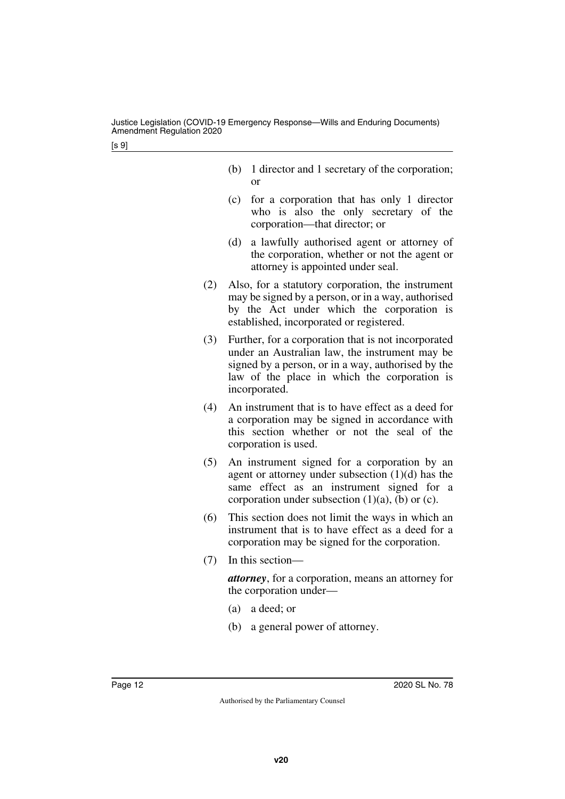- (b) 1 director and 1 secretary of the corporation; or
- (c) for a corporation that has only 1 director who is also the only secretary of the corporation—that director; or
- (d) a lawfully authorised agent or attorney of the corporation, whether or not the agent or attorney is appointed under seal.
- (2) Also, for a statutory corporation, the instrument may be signed by a person, or in a way, authorised by the Act under which the corporation is established, incorporated or registered.
- (3) Further, for a corporation that is not incorporated under an Australian law, the instrument may be signed by a person, or in a way, authorised by the law of the place in which the corporation is incorporated.
- (4) An instrument that is to have effect as a deed for a corporation may be signed in accordance with this section whether or not the seal of the corporation is used.
- (5) An instrument signed for a corporation by an agent or attorney under subsection (1)(d) has the same effect as an instrument signed for a corporation under subsection  $(1)(a)$ ,  $(b)$  or  $(c)$ .
- (6) This section does not limit the ways in which an instrument that is to have effect as a deed for a corporation may be signed for the corporation.
- (7) In this section—

*attorney*, for a corporation, means an attorney for the corporation under—

- (a) a deed; or
- (b) a general power of attorney.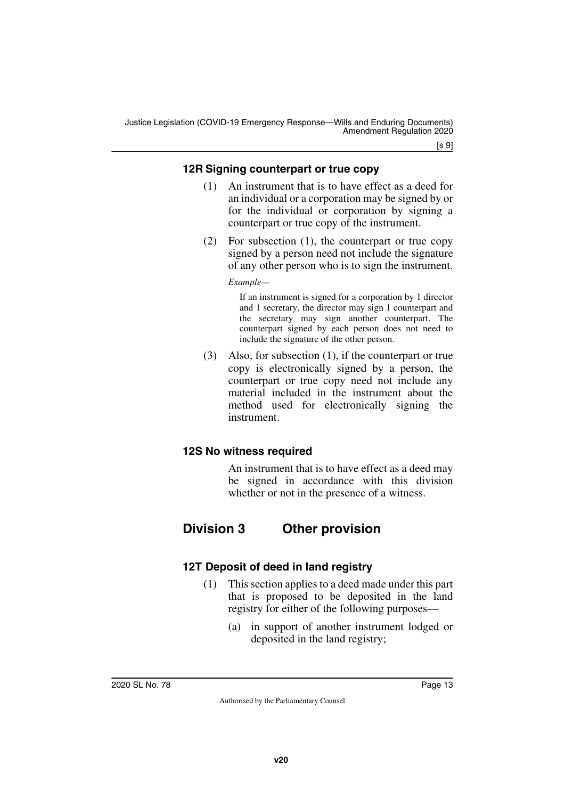Justice Legislation (COVID-19 Emergency Response—Wills and Enduring Documents) Amendment Regulation 2020

 $[s 9]$ 

### <span id="page-12-1"></span><span id="page-12-0"></span>**12R Signing counterpart or true copy**

- (1) An instrument that is to have effect as a deed for an individual or a corporation may be signed by or for the individual or corporation by signing a counterpart or true copy of the instrument.
- (2) For subsection (1), the counterpart or true copy signed by a person need not include the signature of any other person who is to sign the instrument.

*Example—*

If an instrument is signed for a corporation by 1 director and 1 secretary, the director may sign 1 counterpart and the secretary may sign another counterpart. The counterpart signed by each person does not need to include the signature of the other person.

(3) Also, for subsection (1), if the counterpart or true copy is electronically signed by a person, the counterpart or true copy need not include any material included in the instrument about the method used for electronically signing the instrument.

## <span id="page-12-3"></span><span id="page-12-2"></span>**12S No witness required**

<span id="page-12-5"></span>An instrument that is to have effect as a deed may be signed in accordance with this division whether or not in the presence of a witness.

## <span id="page-12-4"></span>**Division 3 Other provision**

## <span id="page-12-7"></span><span id="page-12-6"></span>**12T Deposit of deed in land registry**

- (1) This section applies to a deed made under this part that is proposed to be deposited in the land registry for either of the following purposes—
	- (a) in support of another instrument lodged or deposited in the land registry;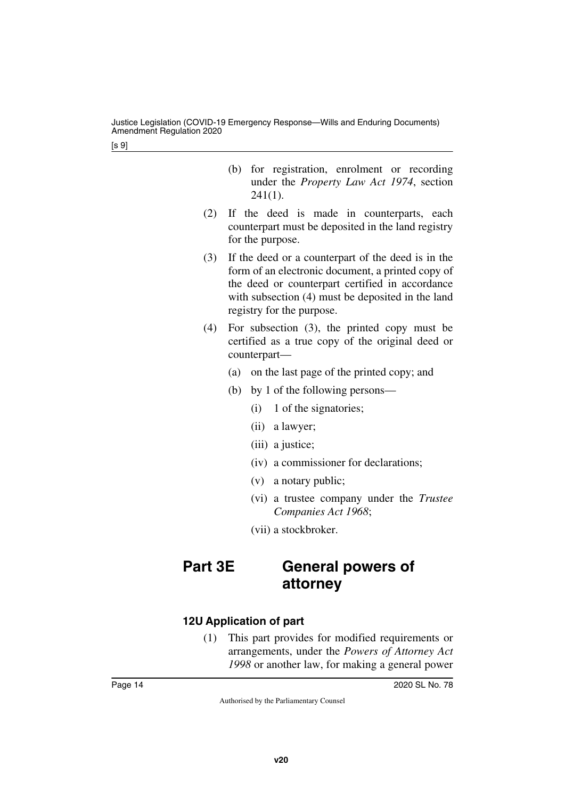- (b) for registration, enrolment or recording under the *Property Law Act 1974*, section  $241(1)$ .
- (2) If the deed is made in counterparts, each counterpart must be deposited in the land registry for the purpose.
- (3) If the deed or a counterpart of the deed is in the form of an electronic document, a printed copy of the deed or counterpart certified in accordance with subsection (4) must be deposited in the land registry for the purpose.
- (4) For subsection (3), the printed copy must be certified as a true copy of the original deed or counterpart—
	- (a) on the last page of the printed copy; and
	- (b) by 1 of the following persons—
		- (i) 1 of the signatories;
		- (ii) a lawyer;
		- (iii) a justice;
		- (iv) a commissioner for declarations;
		- (v) a notary public;
		- (vi) a trustee company under the *Trustee Companies Act 1968*;
		- (vii) a stockbroker.

# <span id="page-13-1"></span><span id="page-13-0"></span>**Part 3E General powers of attorney**

## <span id="page-13-3"></span><span id="page-13-2"></span>**12U Application of part**

(1) This part provides for modified requirements or arrangements, under the *Powers of Attorney Act 1998* or another law, for making a general power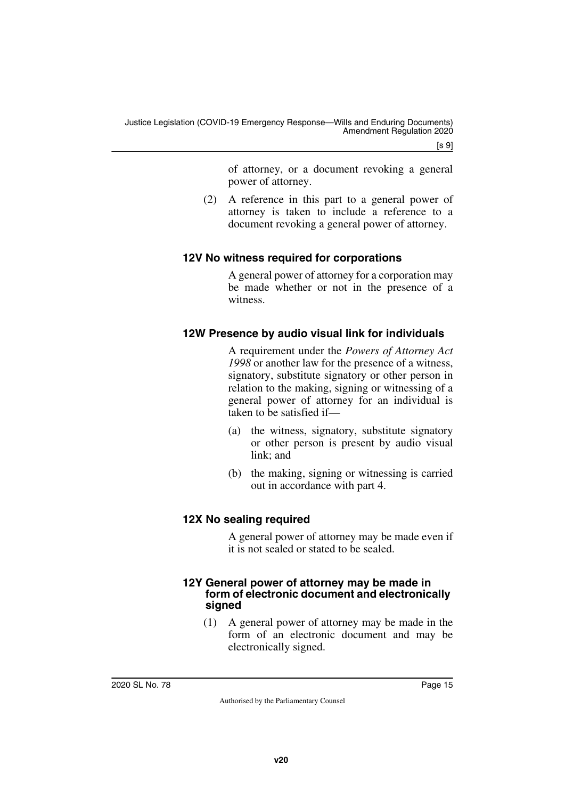of attorney, or a document revoking a general power of attorney.

(2) A reference in this part to a general power of attorney is taken to include a reference to a document revoking a general power of attorney.

### <span id="page-14-1"></span><span id="page-14-0"></span>**12V No witness required for corporations**

A general power of attorney for a corporation may be made whether or not in the presence of a witness.

## <span id="page-14-3"></span><span id="page-14-2"></span>**12W Presence by audio visual link for individuals**

A requirement under the *Powers of Attorney Act 1998* or another law for the presence of a witness, signatory, substitute signatory or other person in relation to the making, signing or witnessing of a general power of attorney for an individual is taken to be satisfied if—

- (a) the witness, signatory, substitute signatory or other person is present by audio visual link; and
- (b) the making, signing or witnessing is carried out in accordance with part 4.

## <span id="page-14-5"></span><span id="page-14-4"></span>**12X No sealing required**

A general power of attorney may be made even if it is not sealed or stated to be sealed.

### <span id="page-14-7"></span><span id="page-14-6"></span>**12Y General power of attorney may be made in form of electronic document and electronically signed**

(1) A general power of attorney may be made in the form of an electronic document and may be electronically signed.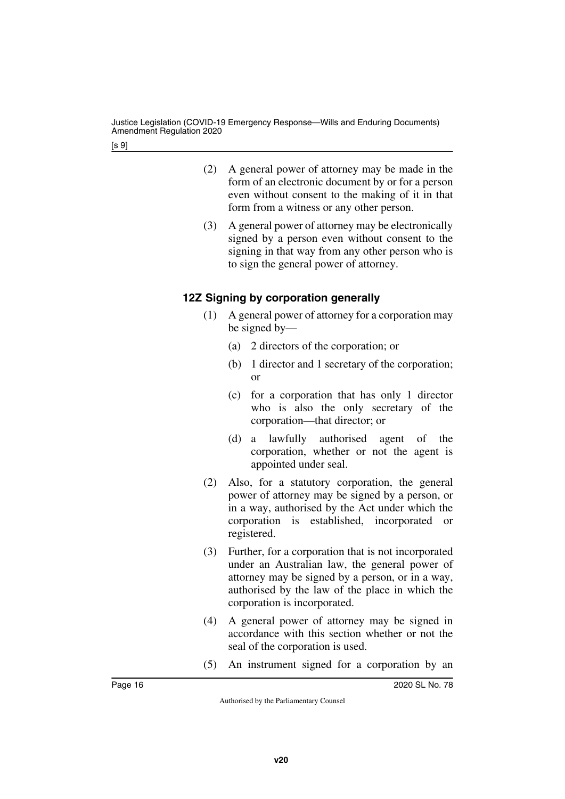- (2) A general power of attorney may be made in the form of an electronic document by or for a person even without consent to the making of it in that form from a witness or any other person.
- (3) A general power of attorney may be electronically signed by a person even without consent to the signing in that way from any other person who is to sign the general power of attorney.

## <span id="page-15-1"></span><span id="page-15-0"></span>**12Z Signing by corporation generally**

- (1) A general power of attorney for a corporation may be signed by—
	- (a) 2 directors of the corporation; or
	- (b) 1 director and 1 secretary of the corporation; or
	- (c) for a corporation that has only 1 director who is also the only secretary of the corporation—that director; or
	- (d) a lawfully authorised agent of the corporation, whether or not the agent is appointed under seal.
- (2) Also, for a statutory corporation, the general power of attorney may be signed by a person, or in a way, authorised by the Act under which the corporation is established, incorporated or registered.
- (3) Further, for a corporation that is not incorporated under an Australian law, the general power of attorney may be signed by a person, or in a way, authorised by the law of the place in which the corporation is incorporated.
- (4) A general power of attorney may be signed in accordance with this section whether or not the seal of the corporation is used.
- (5) An instrument signed for a corporation by an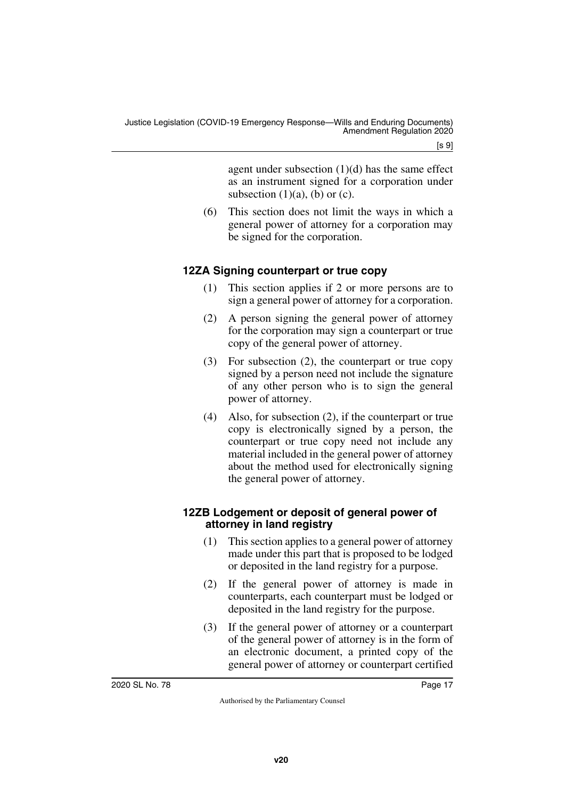agent under subsection  $(1)(d)$  has the same effect as an instrument signed for a corporation under subsection  $(1)(a)$ ,  $(b)$  or  $(c)$ .

(6) This section does not limit the ways in which a general power of attorney for a corporation may be signed for the corporation.

## <span id="page-16-0"></span>**12ZA Signing counterpart or true copy**

- <span id="page-16-1"></span>(1) This section applies if 2 or more persons are to sign a general power of attorney for a corporation.
- (2) A person signing the general power of attorney for the corporation may sign a counterpart or true copy of the general power of attorney.
- (3) For subsection (2), the counterpart or true copy signed by a person need not include the signature of any other person who is to sign the general power of attorney.
- (4) Also, for subsection (2), if the counterpart or true copy is electronically signed by a person, the counterpart or true copy need not include any material included in the general power of attorney about the method used for electronically signing the general power of attorney.

### <span id="page-16-3"></span><span id="page-16-2"></span>**12ZB Lodgement or deposit of general power of attorney in land registry**

- (1) This section applies to a general power of attorney made under this part that is proposed to be lodged or deposited in the land registry for a purpose.
- (2) If the general power of attorney is made in counterparts, each counterpart must be lodged or deposited in the land registry for the purpose.
- (3) If the general power of attorney or a counterpart of the general power of attorney is in the form of an electronic document, a printed copy of the general power of attorney or counterpart certified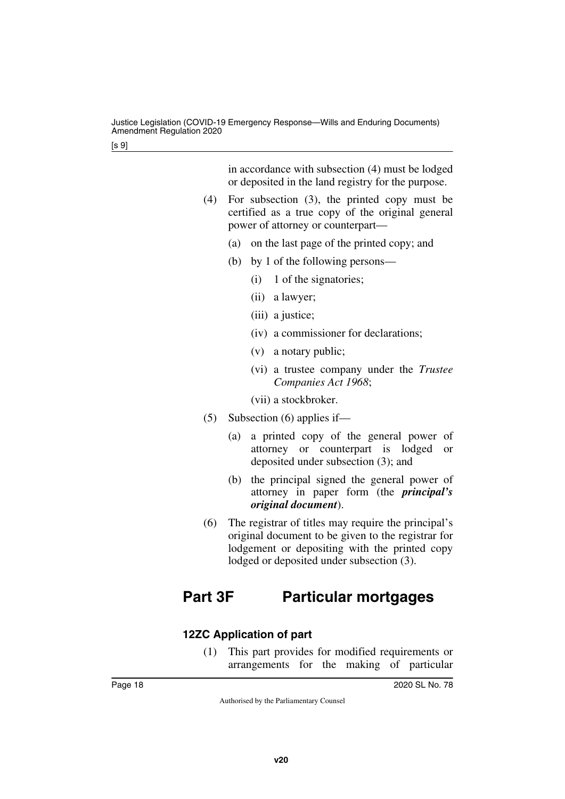in accordance with subsection (4) must be lodged or deposited in the land registry for the purpose.

- (4) For subsection (3), the printed copy must be certified as a true copy of the original general power of attorney or counterpart—
	- (a) on the last page of the printed copy; and
	- (b) by 1 of the following persons—
		- (i) 1 of the signatories;
		- (ii) a lawyer;
		- (iii) a justice;
		- (iv) a commissioner for declarations;
		- (v) a notary public;
		- (vi) a trustee company under the *Trustee Companies Act 1968*;

(vii) a stockbroker.

- (5) Subsection (6) applies if—
	- (a) a printed copy of the general power of attorney or counterpart is lodged or deposited under subsection (3); and
	- (b) the principal signed the general power of attorney in paper form (the *principal's original document*).
- <span id="page-17-1"></span>(6) The registrar of titles may require the principal's original document to be given to the registrar for lodgement or depositing with the printed copy lodged or deposited under subsection (3).

# <span id="page-17-0"></span>**Part 3F Particular mortgages**

## <span id="page-17-2"></span>**12ZC Application of part**

<span id="page-17-3"></span>(1) This part provides for modified requirements or arrangements for the making of particular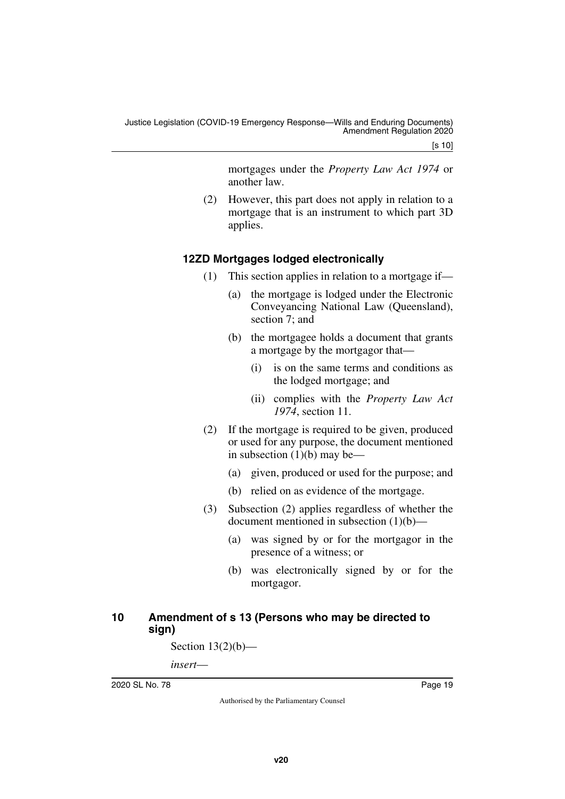[s 10]

mortgages under the *Property Law Act 1974* or another law.

(2) However, this part does not apply in relation to a mortgage that is an instrument to which part 3D applies.

## <span id="page-18-0"></span>**12ZD Mortgages lodged electronically**

- <span id="page-18-1"></span>(1) This section applies in relation to a mortgage if—
	- (a) the mortgage is lodged under the Electronic Conveyancing National Law (Queensland), section 7; and
	- (b) the mortgagee holds a document that grants a mortgage by the mortgagor that—
		- (i) is on the same terms and conditions as the lodged mortgage; and
		- (ii) complies with the *Property Law Act 1974*, section 11.
- (2) If the mortgage is required to be given, produced or used for any purpose, the document mentioned in subsection  $(1)(b)$  may be—
	- (a) given, produced or used for the purpose; and
	- (b) relied on as evidence of the mortgage.
- (3) Subsection (2) applies regardless of whether the document mentioned in subsection (1)(b)—
	- (a) was signed by or for the mortgagor in the presence of a witness; or
	- (b) was electronically signed by or for the mortgagor.

### <span id="page-18-3"></span><span id="page-18-2"></span>**10 Amendment of s 13 (Persons who may be directed to sign)**

Section  $13(2)(b)$ —

*insert*—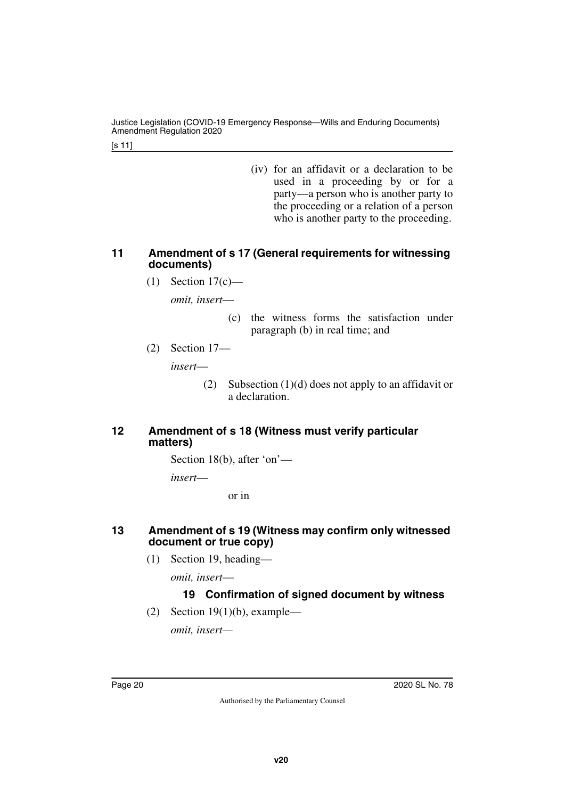Justice Legislation (COVID-19 Emergency Response—Wills and Enduring Documents) Amendment Regulation 2020

[s 11]

(iv) for an affidavit or a declaration to be used in a proceeding by or for a party—a person who is another party to the proceeding or a relation of a person who is another party to the proceeding.

### <span id="page-19-1"></span><span id="page-19-0"></span>**11 Amendment of s 17 (General requirements for witnessing documents)**

(1) Section 17(c)—

*omit, insert*—

- (c) the witness forms the satisfaction under paragraph (b) in real time; and
- (2) Section 17—

*insert*—

(2) Subsection (1)(d) does not apply to an affidavit or a declaration.

### <span id="page-19-3"></span><span id="page-19-2"></span>**12 Amendment of s 18 (Witness must verify particular matters)**

Section 18(b), after 'on'—

*insert*—

or in

### <span id="page-19-5"></span><span id="page-19-4"></span>**13 Amendment of s 19 (Witness may confirm only witnessed document or true copy)**

(1) Section 19, heading—

*omit, insert*—

## **19 Confirmation of signed document by witness**

(2) Section  $19(1)(b)$ , example—

*omit, insert—*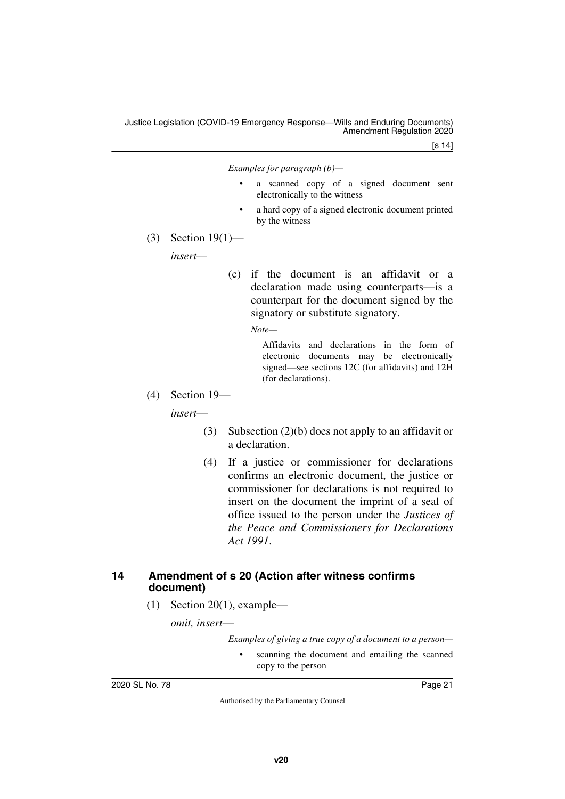[s 14]

*Examples for paragraph (b)—*

- a scanned copy of a signed document sent electronically to the witness
- a hard copy of a signed electronic document printed by the witness
- (3) Section 19(1)—

*insert—*

(c) if the document is an affidavit or a declaration made using counterparts—is a counterpart for the document signed by the signatory or substitute signatory.

*Note—*

Affidavits and declarations in the form of electronic documents may be electronically signed—see sections 12C (for affidavits) and 12H (for declarations).

(4) Section 19—

*insert*—

- (3) Subsection (2)(b) does not apply to an affidavit or a declaration.
- (4) If a justice or commissioner for declarations confirms an electronic document, the justice or commissioner for declarations is not required to insert on the document the imprint of a seal of office issued to the person under the *Justices of the Peace and Commissioners for Declarations Act 1991*.

### <span id="page-20-1"></span><span id="page-20-0"></span>**14 Amendment of s 20 (Action after witness confirms document)**

(1) Section 20(1), example—

*omit, insert*—

*Examples of giving a true copy of a document to a person—*

scanning the document and emailing the scanned copy to the person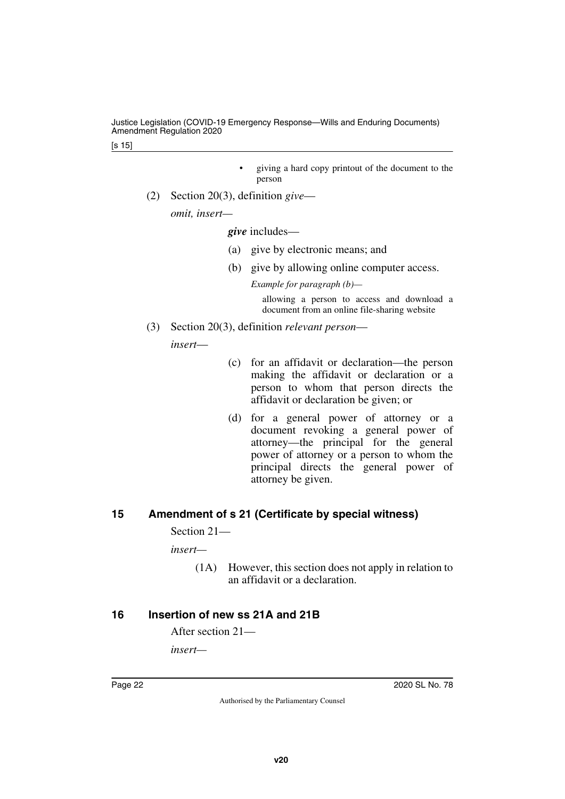[s 15]

- giving a hard copy printout of the document to the person
- (2) Section 20(3), definition *give*—

*omit, insert—*

*give* includes—

- (a) give by electronic means; and
- (b) give by allowing online computer access.

*Example for paragraph (b)—*

allowing a person to access and download a document from an online file-sharing website

(3) Section 20(3), definition *relevant person*—

*insert*—

- (c) for an affidavit or declaration—the person making the affidavit or declaration or a person to whom that person directs the affidavit or declaration be given; or
- (d) for a general power of attorney or a document revoking a general power of attorney—the principal for the general power of attorney or a person to whom the principal directs the general power of attorney be given.

## <span id="page-21-0"></span>**15 Amendment of s 21 (Certificate by special witness)**

<span id="page-21-1"></span>Section 21—

*insert—*

(1A) However, this section does not apply in relation to an affidavit or a declaration.

## <span id="page-21-2"></span>**16 Insertion of new ss 21A and 21B**

<span id="page-21-3"></span>After section 21—

*insert—*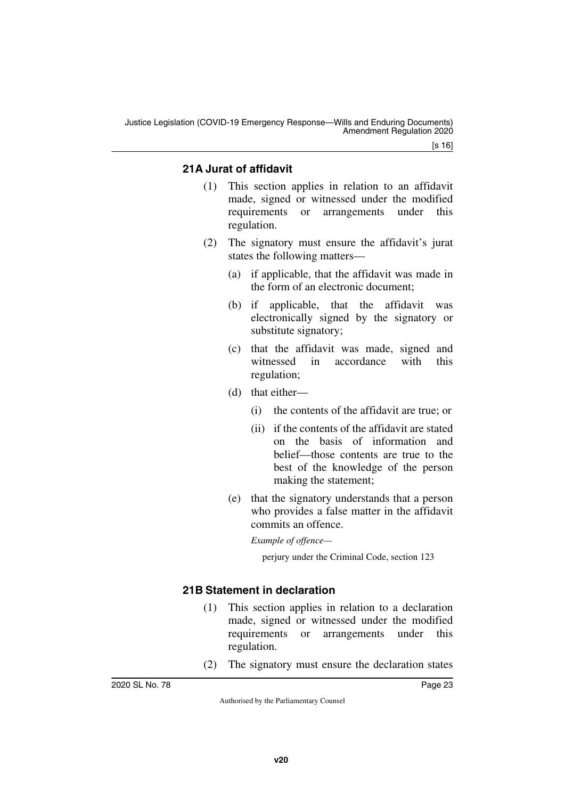Justice Legislation (COVID-19 Emergency Response—Wills and Enduring Documents) Amendment Regulation 2020

[s 16]

## <span id="page-22-1"></span><span id="page-22-0"></span>**21A Jurat of affidavit**

- (1) This section applies in relation to an affidavit made, signed or witnessed under the modified requirements or arrangements under this regulation.
- (2) The signatory must ensure the affidavit's jurat states the following matters—
	- (a) if applicable, that the affidavit was made in the form of an electronic document;
	- (b) if applicable, that the affidavit was electronically signed by the signatory or substitute signatory;
	- (c) that the affidavit was made, signed and witnessed in accordance with this regulation;
	- (d) that either—
		- (i) the contents of the affidavit are true; or
		- (ii) if the contents of the affidavit are stated on the basis of information and belief—those contents are true to the best of the knowledge of the person making the statement;
	- (e) that the signatory understands that a person who provides a false matter in the affidavit commits an offence.

*Example of offence—*

perjury under the Criminal Code, section 123

## <span id="page-22-3"></span><span id="page-22-2"></span>**21B Statement in declaration**

- (1) This section applies in relation to a declaration made, signed or witnessed under the modified requirements or arrangements under this regulation.
- (2) The signatory must ensure the declaration states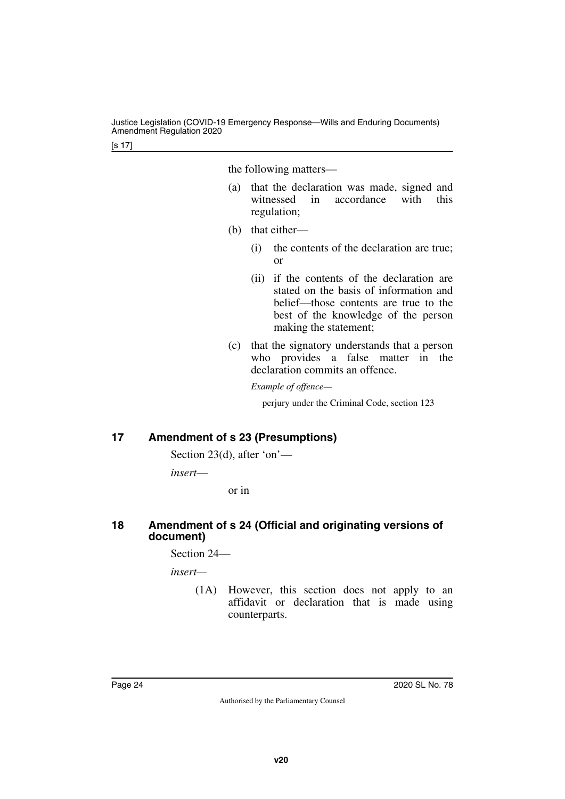the following matters—

- (a) that the declaration was made, signed and witnessed in accordance with this regulation;
- (b) that either—
	- (i) the contents of the declaration are true; or
	- (ii) if the contents of the declaration are stated on the basis of information and belief—those contents are true to the best of the knowledge of the person making the statement;
- (c) that the signatory understands that a person who provides a false matter in the declaration commits an offence.

*Example of offence—*

perjury under the Criminal Code, section 123

## <span id="page-23-0"></span>**17 Amendment of s 23 (Presumptions)**

<span id="page-23-1"></span>Section 23(d), after 'on'—

*insert*—

or in

### <span id="page-23-3"></span><span id="page-23-2"></span>**18 Amendment of s 24 (Official and originating versions of document)**

Section 24—

*insert—*

(1A) However, this section does not apply to an affidavit or declaration that is made using counterparts.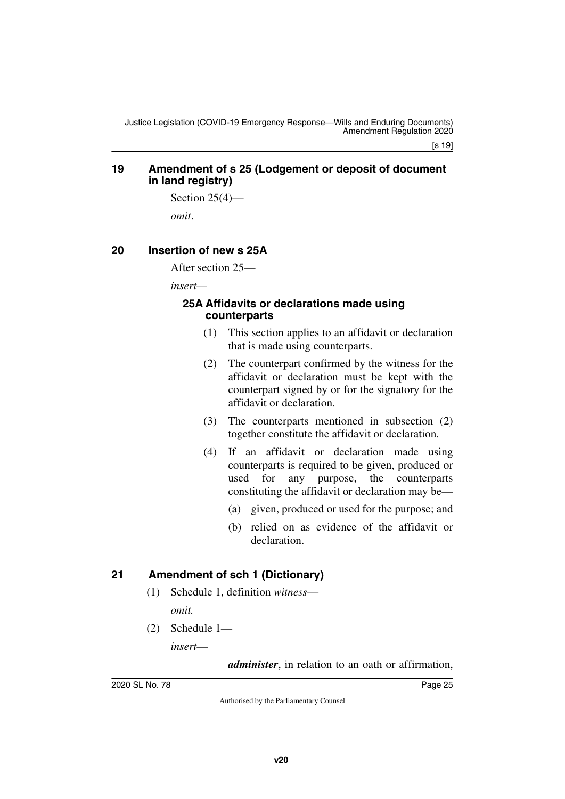### <span id="page-24-1"></span><span id="page-24-0"></span>**19 Amendment of s 25 (Lodgement or deposit of document in land registry)**

Section  $25(4)$ —

<span id="page-24-3"></span>*omit*.

### <span id="page-24-2"></span>**20 Insertion of new s 25A**

After section 25—

*insert—*

### <span id="page-24-5"></span><span id="page-24-4"></span>**25A Affidavits or declarations made using counterparts**

- (1) This section applies to an affidavit or declaration that is made using counterparts.
- (2) The counterpart confirmed by the witness for the affidavit or declaration must be kept with the counterpart signed by or for the signatory for the affidavit or declaration.
- (3) The counterparts mentioned in subsection (2) together constitute the affidavit or declaration.
- (4) If an affidavit or declaration made using counterparts is required to be given, produced or used for any purpose, the counterparts constituting the affidavit or declaration may be—
	- (a) given, produced or used for the purpose; and
	- (b) relied on as evidence of the affidavit or declaration.

## <span id="page-24-6"></span>**21 Amendment of sch 1 (Dictionary)**

- <span id="page-24-7"></span>(1) Schedule 1, definition *witness omit.*
- (2) Schedule 1—

*insert*—

*administer*, in relation to an oath or affirmation,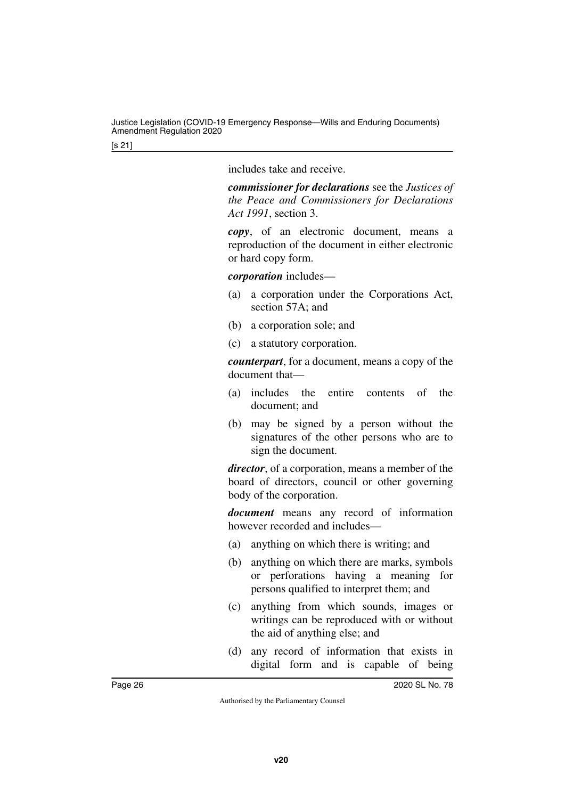includes take and receive.

*commissioner for declarations* see the *Justices of the Peace and Commissioners for Declarations Act 1991*, section 3.

*copy*, of an electronic document, means a reproduction of the document in either electronic or hard copy form.

*corporation* includes—

- (a) a corporation under the Corporations Act, section 57A; and
- (b) a corporation sole; and
- (c) a statutory corporation.

*counterpart*, for a document, means a copy of the document that—

- (a) includes the entire contents of the document; and
- (b) may be signed by a person without the signatures of the other persons who are to sign the document.

*director*, of a corporation, means a member of the board of directors, council or other governing body of the corporation.

*document* means any record of information however recorded and includes—

- (a) anything on which there is writing; and
- (b) anything on which there are marks, symbols or perforations having a meaning for persons qualified to interpret them; and
- (c) anything from which sounds, images or writings can be reproduced with or without the aid of anything else; and
- (d) any record of information that exists in digital form and is capable of being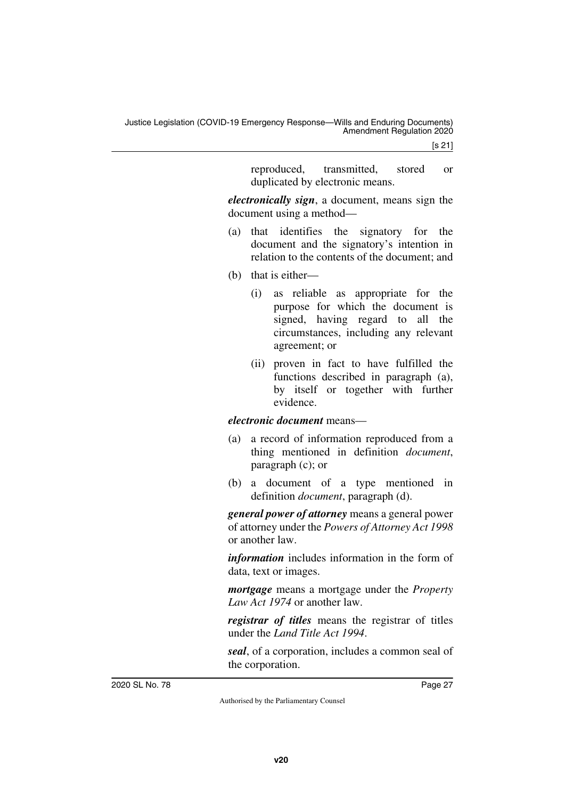[s 21]

reproduced, transmitted, stored or duplicated by electronic means.

*electronically sign*, a document, means sign the document using a method—

- (a) that identifies the signatory for the document and the signatory's intention in relation to the contents of the document; and
- (b) that is either—
	- (i) as reliable as appropriate for the purpose for which the document is signed, having regard to all the circumstances, including any relevant agreement; or
	- (ii) proven in fact to have fulfilled the functions described in paragraph (a), by itself or together with further evidence.

### *electronic document* means—

- (a) a record of information reproduced from a thing mentioned in definition *document*, paragraph (c); or
- (b) a document of a type mentioned in definition *document*, paragraph (d).

*general power of attorney* means a general power of attorney under the *Powers of Attorney Act 1998* or another law.

*information* includes information in the form of data, text or images.

*mortgage* means a mortgage under the *Property Law Act 1974* or another law.

*registrar of titles* means the registrar of titles under the *Land Title Act 1994*.

*seal*, of a corporation, includes a common seal of the corporation.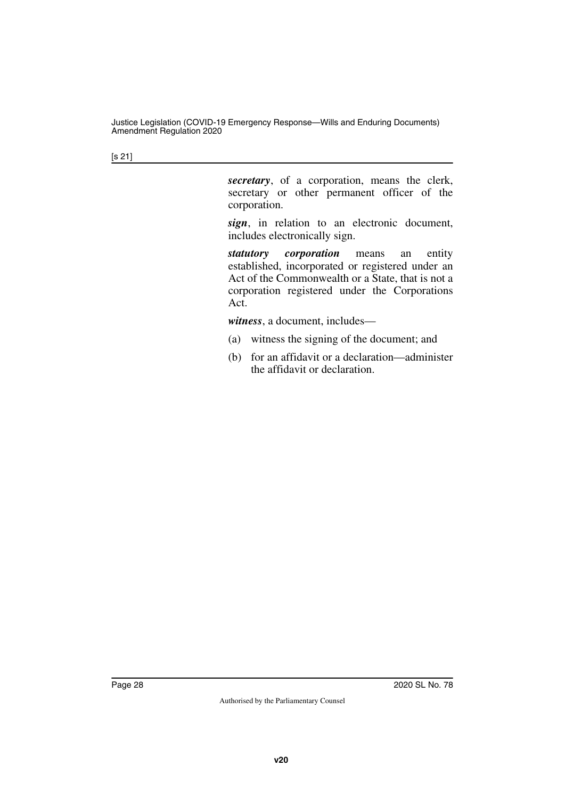[s 21]

*secretary*, of a corporation, means the clerk, secretary or other permanent officer of the corporation.

*sign*, in relation to an electronic document, includes electronically sign.

*statutory corporation* means an entity established, incorporated or registered under an Act of the Commonwealth or a State, that is not a corporation registered under the Corporations Act.

*witness*, a document, includes—

- (a) witness the signing of the document; and
- (b) for an affidavit or a declaration—administer the affidavit or declaration.